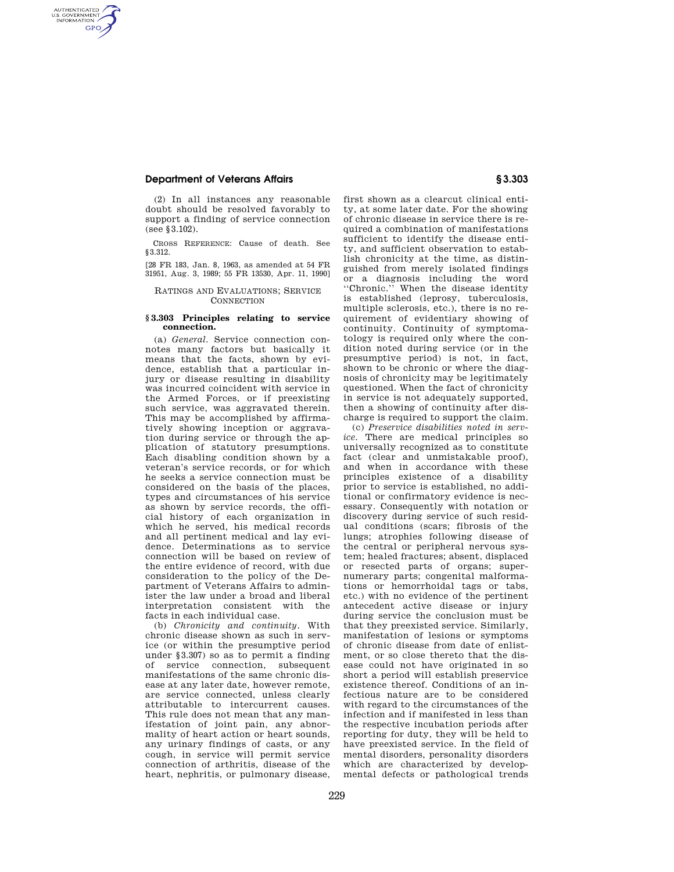# **Department of Veterans Affairs § 3.303**

AUTHENTICATED<br>U.S. GOVERNMENT<br>INFORMATION **GPO** 

> (2) In all instances any reasonable doubt should be resolved favorably to support a finding of service connection (see §3.102).

> CROSS REFERENCE: Cause of death. See §3.312.

> [28 FR 183, Jan. 8, 1963, as amended at 54 FR 31951, Aug. 3, 1989; 55 FR 13530, Apr. 11, 1990]

# RATINGS AND EVALUATIONS; SERVICE **CONNECTION**

#### **§ 3.303 Principles relating to service connection.**

(a) *General.* Service connection connotes many factors but basically it means that the facts, shown by evidence, establish that a particular injury or disease resulting in disability was incurred coincident with service in the Armed Forces, or if preexisting such service, was aggravated therein. This may be accomplished by affirmatively showing inception or aggravation during service or through the application of statutory presumptions. Each disabling condition shown by a veteran's service records, or for which he seeks a service connection must be considered on the basis of the places, types and circumstances of his service as shown by service records, the official history of each organization in which he served, his medical records and all pertinent medical and lay evidence. Determinations as to service connection will be based on review of the entire evidence of record, with due consideration to the policy of the Department of Veterans Affairs to administer the law under a broad and liberal interpretation consistent with the facts in each individual case.

(b) *Chronicity and continuity.* With chronic disease shown as such in service (or within the presumptive period under §3.307) so as to permit a finding of service connection, subsequent manifestations of the same chronic disease at any later date, however remote, are service connected, unless clearly attributable to intercurrent causes. This rule does not mean that any manifestation of joint pain, any abnormality of heart action or heart sounds, any urinary findings of casts, or any cough, in service will permit service connection of arthritis, disease of the heart, nephritis, or pulmonary disease,

first shown as a clearcut clinical entity, at some later date. For the showing of chronic disease in service there is required a combination of manifestations sufficient to identify the disease entity, and sufficient observation to establish chronicity at the time, as distinguished from merely isolated findings or a diagnosis including the word ''Chronic.'' When the disease identity is established (leprosy, tuberculosis, multiple sclerosis, etc.), there is no requirement of evidentiary showing of continuity. Continuity of symptomatology is required only where the condition noted during service (or in the presumptive period) is not, in fact, shown to be chronic or where the diagnosis of chronicity may be legitimately questioned. When the fact of chronicity in service is not adequately supported, then a showing of continuity after discharge is required to support the claim.

(c) *Preservice disabilities noted in service.* There are medical principles so universally recognized as to constitute fact (clear and unmistakable proof). and when in accordance with these principles existence of a disability prior to service is established, no additional or confirmatory evidence is necessary. Consequently with notation or discovery during service of such residual conditions (scars; fibrosis of the lungs; atrophies following disease of the central or peripheral nervous system; healed fractures; absent, displaced or resected parts of organs; supernumerary parts; congenital malformations or hemorrhoidal tags or tabs, etc.) with no evidence of the pertinent antecedent active disease or injury during service the conclusion must be that they preexisted service. Similarly, manifestation of lesions or symptoms of chronic disease from date of enlistment, or so close thereto that the disease could not have originated in so short a period will establish preservice existence thereof. Conditions of an infectious nature are to be considered with regard to the circumstances of the infection and if manifested in less than the respective incubation periods after reporting for duty, they will be held to have preexisted service. In the field of mental disorders, personality disorders which are characterized by developmental defects or pathological trends